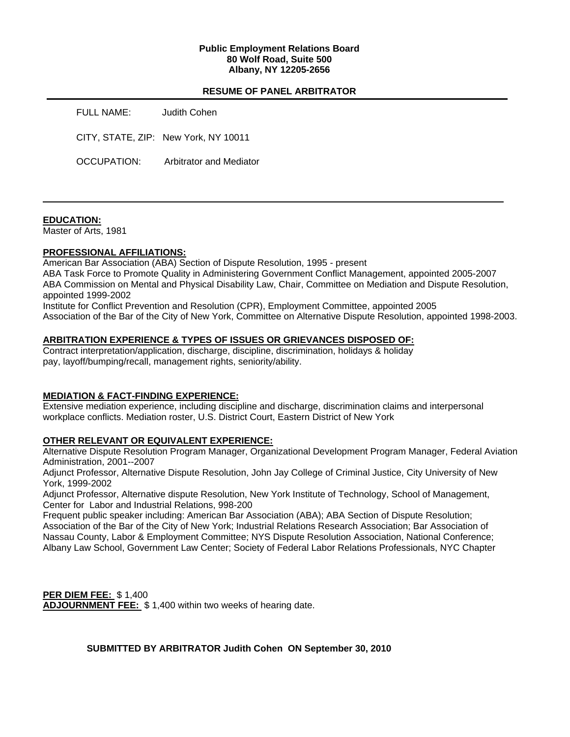### **Public Employment Relations Board 80 Wolf Road, Suite 500 Albany, NY 12205-2656**

## **RESUME OF PANEL ARBITRATOR**

FULL NAME: Judith Cohen CITY, STATE, ZIP: New York, NY 10011 OCCUPATION: Arbitrator and Mediator

# **EDUCATION:**

Master of Arts, 1981

### **PROFESSIONAL AFFILIATIONS:**

American Bar Association (ABA) Section of Dispute Resolution, 1995 - present

ABA Task Force to Promote Quality in Administering Government Conflict Management, appointed 2005-2007 ABA Commission on Mental and Physical Disability Law, Chair, Committee on Mediation and Dispute Resolution, appointed 1999-2002

Institute for Conflict Prevention and Resolution (CPR), Employment Committee, appointed 2005 Association of the Bar of the City of New York, Committee on Alternative Dispute Resolution, appointed 1998-2003.

## **ARBITRATION EXPERIENCE & TYPES OF ISSUES OR GRIEVANCES DISPOSED OF:**

Contract interpretation/application, discharge, discipline, discrimination, holidays & holiday pay, layoff/bumping/recall, management rights, seniority/ability.

# **MEDIATION & FACT-FINDING EXPERIENCE:**

Extensive mediation experience, including discipline and discharge, discrimination claims and interpersonal workplace conflicts. Mediation roster, U.S. District Court, Eastern District of New York

### **OTHER RELEVANT OR EQUIVALENT EXPERIENCE:**

Alternative Dispute Resolution Program Manager, Organizational Development Program Manager, Federal Aviation Administration, 2001--2007

Adjunct Professor, Alternative Dispute Resolution, John Jay College of Criminal Justice, City University of New York, 1999-2002

Adjunct Professor, Alternative dispute Resolution, New York Institute of Technology, School of Management, Center for Labor and Industrial Relations, 998-200

Frequent public speaker including: American Bar Association (ABA); ABA Section of Dispute Resolution; Association of the Bar of the City of New York; Industrial Relations Research Association; Bar Association of Nassau County, Labor & Employment Committee; NYS Dispute Resolution Association, National Conference; Albany Law School, Government Law Center; Society of Federal Labor Relations Professionals, NYC Chapter

**PER DIEM FEE:** \$ 1,400 **ADJOURNMENT FEE:** \$ 1,400 within two weeks of hearing date.

**SUBMITTED BY ARBITRATOR Judith Cohen ON September 30, 2010**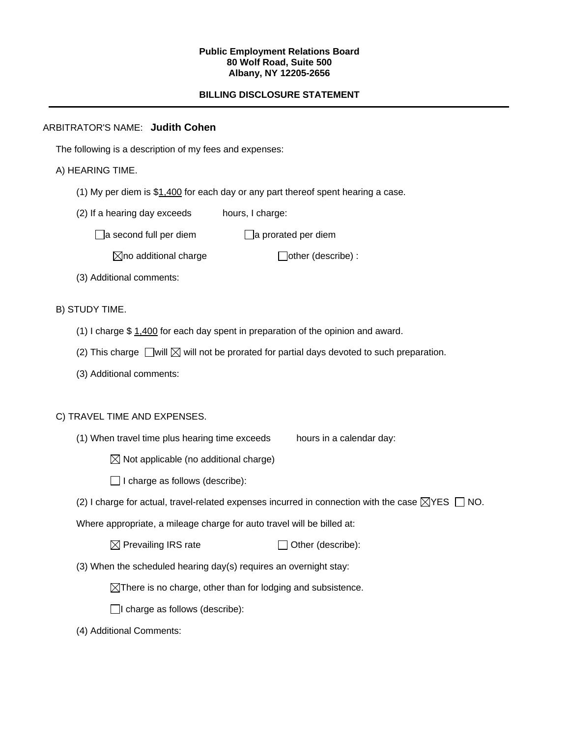#### **Public Employment Relations Board 80 Wolf Road, Suite 500 Albany, NY 12205-2656**

# **BILLING DISCLOSURE STATEMENT**

## ARBITRATOR'S NAME: **Judith Cohen**

The following is a description of my fees and expenses:

## A) HEARING TIME.

- (1) My per diem is \$1,400 for each day or any part thereof spent hearing a case.
- (2) If a hearing day exceeds hours, I charge:

 $\Box$ a second full per diem  $\Box$ a prorated per diem

 $\boxtimes$ no additional charge  $\Box$ other (describe) :

(3) Additional comments:

B) STUDY TIME.

- (1) I charge  $$ 1,400$  for each day spent in preparation of the opinion and award.
- (2) This charge  $\Box$  will  $\boxtimes$  will not be prorated for partial days devoted to such preparation.
- (3) Additional comments:

### C) TRAVEL TIME AND EXPENSES.

(1) When travel time plus hearing time exceeds hours in a calendar day:

 $\boxtimes$  Not applicable (no additional charge)

 $\Box$  I charge as follows (describe):

(2) I charge for actual, travel-related expenses incurred in connection with the case  $\boxtimes$ YES  $\Box$  NO.

Where appropriate, a mileage charge for auto travel will be billed at:

| $\boxtimes$ Prevailing IRS rate | $\Box$ Other (describe): |
|---------------------------------|--------------------------|
|---------------------------------|--------------------------|

(3) When the scheduled hearing day(s) requires an overnight stay:

 $\boxtimes$ There is no charge, other than for lodging and subsistence.

 $\Box$ I charge as follows (describe):

(4) Additional Comments: